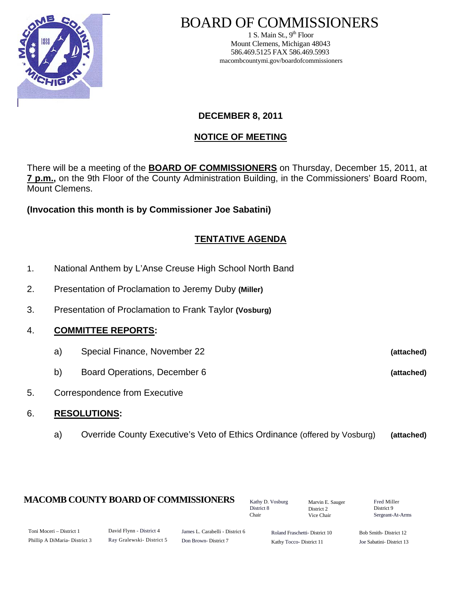

# BOARD OF COMMISSIONERS

1 S. Main St.,  $9<sup>th</sup>$  Floor Mount Clemens, Michigan 48043 586.469.5125 FAX 586.469.5993 macombcountymi.gov/boardofcommissioners

# **DECEMBER 8, 2011**

# **NOTICE OF MEETING**

There will be a meeting of the **BOARD OF COMMISSIONERS** on Thursday, December 15, 2011, at **7 p.m.,** on the 9th Floor of the County Administration Building, in the Commissioners' Board Room, Mount Clemens.

**(Invocation this month is by Commissioner Joe Sabatini)** 

# **TENTATIVE AGENDA**

- 1. National Anthem by L'Anse Creuse High School North Band
- 2. Presentation of Proclamation to Jeremy Duby **(Miller)**
- 3. Presentation of Proclamation to Frank Taylor **(Vosburg)**
- 4. **COMMITTEE REPORTS:** 
	- a) Special Finance, November 22 **(attached)**
	- b) Board Operations, December 6 **(attached)**
- 5. Correspondence from Executive

## 6. **RESOLUTIONS:**

a) Override County Executive's Veto of Ethics Ordinance (offered by Vosburg) **(attached)**

## **MACOMB COUNTY BOARD OF COMMISSIONERS** Factor D. Vosburg Marvin F. Sauger Fred Miller

Kathy D. Vosburg District 8 Chair

Marvin E. Sauger District 2 Vice Chair

District 9 Sergeant-At-Arms

| Toni Moceri – District 1     | David Flynn - District 4 | James L. Carabelli - District 6 | Roland Fraschetti-District 10 | Bob Sm   |
|------------------------------|--------------------------|---------------------------------|-------------------------------|----------|
| Phillip A DiMaria-District 3 | Ray Gralewski-District 5 | Don Brown-District 7            | Kathy Tocco-District 11       | Joe Saba |

ith-District 12 atini- District 13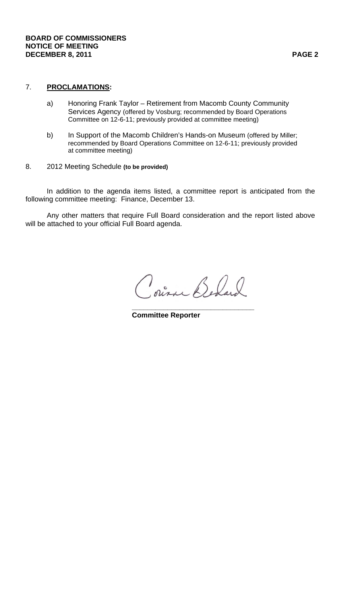# 7. **PROCLAMATIONS:**

- a) Honoring Frank Taylor Retirement from Macomb County Community Services Agency (offered by Vosburg; recommended by Board Operations Committee on 12-6-11; previously provided at committee meeting)
- b) In Support of the Macomb Children's Hands-on Museum (offered by Miller; recommended by Board Operations Committee on 12-6-11; previously provided at committee meeting)
- 8. 2012 Meeting Schedule **(to be provided)**

 In addition to the agenda items listed, a committee report is anticipated from the following committee meeting: Finance, December 13.

 Any other matters that require Full Board consideration and the report listed above will be attached to your official Full Board agenda.

Poisa Bedard

 **\_\_\_\_\_\_\_\_\_\_\_\_\_\_\_\_\_\_\_\_\_\_\_\_\_\_\_\_\_\_\_ Committee Reporter**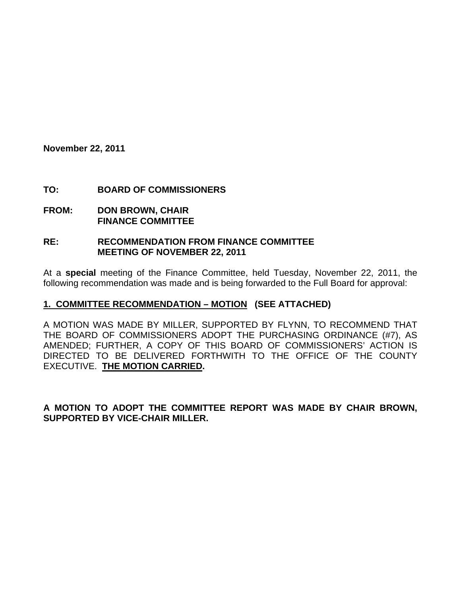**November 22, 2011** 

## **TO: BOARD OF COMMISSIONERS**

**FROM: DON BROWN, CHAIR FINANCE COMMITTEE** 

#### **RE: RECOMMENDATION FROM FINANCE COMMITTEE MEETING OF NOVEMBER 22, 2011**

At a **special** meeting of the Finance Committee, held Tuesday, November 22, 2011, the following recommendation was made and is being forwarded to the Full Board for approval:

## **1. COMMITTEE RECOMMENDATION – MOTION (SEE ATTACHED)**

A MOTION WAS MADE BY MILLER, SUPPORTED BY FLYNN, TO RECOMMEND THAT THE BOARD OF COMMISSIONERS ADOPT THE PURCHASING ORDINANCE (#7), AS AMENDED; FURTHER, A COPY OF THIS BOARD OF COMMISSIONERS' ACTION IS DIRECTED TO BE DELIVERED FORTHWITH TO THE OFFICE OF THE COUNTY EXECUTIVE. **THE MOTION CARRIED.** 

**A MOTION TO ADOPT THE COMMITTEE REPORT WAS MADE BY CHAIR BROWN, SUPPORTED BY VICE-CHAIR MILLER.**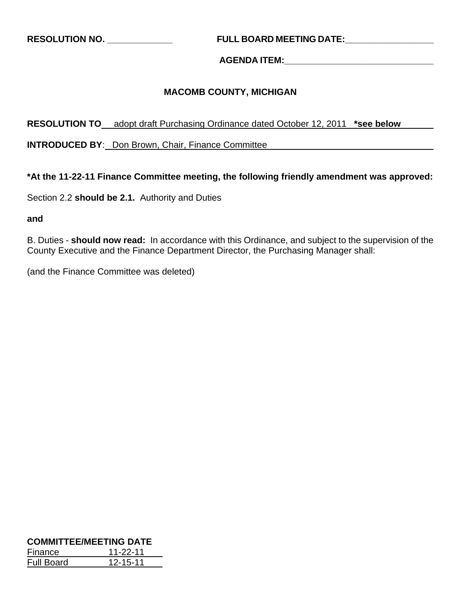**RESOLUTION NO. \_\_\_\_\_\_\_\_\_\_\_\_\_ FULL BOARD MEETING DATE:\_\_\_\_\_\_\_\_\_\_\_\_\_\_\_\_\_\_** 

# **AGENDA ITEM:\_\_\_\_\_\_\_\_\_\_\_\_\_\_\_\_\_\_\_\_\_\_\_\_\_\_\_\_\_\_**

# **MACOMB COUNTY, MICHIGAN**

## **RESOLUTION TO** adopt draft Purchasing Ordinance dated October 12, 2011 **\*see below**

**INTRODUCED BY**: Don Brown, Chair, Finance Committee

## **\*At the 11-22-11 Finance Committee meeting, the following friendly amendment was approved:**

Section 2.2 **should be 2.1.** Authority and Duties

**and** 

B. Duties - **should now read:** In accordance with this Ordinance, and subject to the supervision of the County Executive and the Finance Department Director, the Purchasing Manager shall:

(and the Finance Committee was deleted)

| <b>COMMITTEE/MEETING DATE</b> |          |  |  |  |
|-------------------------------|----------|--|--|--|
| Finance                       | 11-22-11 |  |  |  |
| <b>Full Board</b>             | 12-15-11 |  |  |  |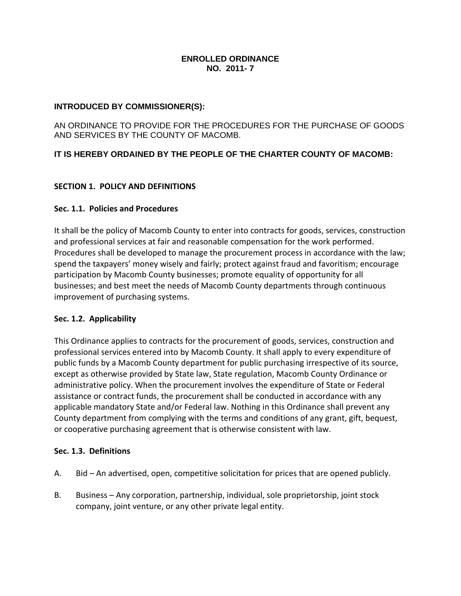#### **ENROLLED ORDINANCE NO. 2011- 7**

#### **INTRODUCED BY COMMISSIONER(S):**

AN ORDINANCE TO PROVIDE FOR THE PROCEDURES FOR THE PURCHASE OF GOODS AND SERVICES BY THE COUNTY OF MACOMB.

#### **IT IS HEREBY ORDAINED BY THE PEOPLE OF THE CHARTER COUNTY OF MACOMB:**

#### **SECTION 1. POLICY AND DEFINITIONS**

#### **Sec. 1.1. Policies and Procedures**

It shall be the policy of Macomb County to enter into contracts for goods, services, construction and professional services at fair and reasonable compensation for the work performed. Procedures shall be developed to manage the procurement process in accordance with the law; spend the taxpayers' money wisely and fairly; protect against fraud and favoritism; encourage participation by Macomb County businesses; promote equality of opportunity for all businesses; and best meet the needs of Macomb County departments through continuous improvement of purchasing systems.

#### **Sec. 1.2. Applicability**

This Ordinance applies to contracts for the procurement of goods, services, construction and professional services entered into by Macomb County. It shall apply to every expenditure of public funds by a Macomb County department for public purchasing irrespective of its source, except as otherwise provided by State law, State regulation, Macomb County Ordinance or administrative policy. When the procurement involves the expenditure of State or Federal assistance or contract funds, the procurement shall be conducted in accordance with any applicable mandatory State and/or Federal law. Nothing in this Ordinance shall prevent any County department from complying with the terms and conditions of any grant, gift, bequest, or cooperative purchasing agreement that is otherwise consistent with law.

#### **Sec. 1.3. Definitions**

- A. Bid An advertised, open, competitive solicitation for prices that are opened publicly.
- B. Business Any corporation, partnership, individual, sole proprietorship, joint stock company, joint venture, or any other private legal entity.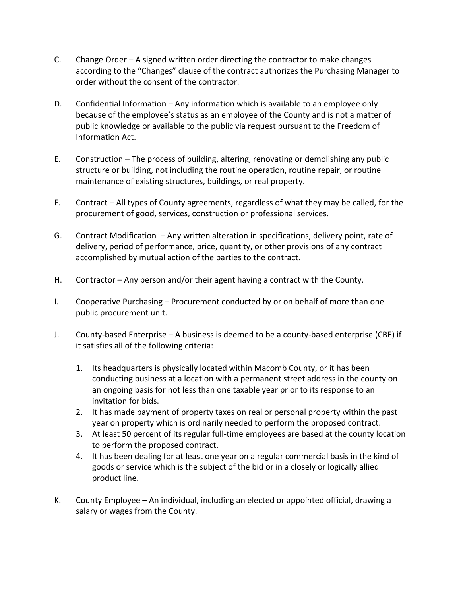- C. Change Order A signed written order directing the contractor to make changes according to the "Changes" clause of the contract authorizes the Purchasing Manager to order without the consent of the contractor.
- D. Confidential Information Any information which is available to an employee only because of the employee's status as an employee of the County and is not a matter of public knowledge or available to the public via request pursuant to the Freedom of Information Act.
- E. Construction The process of building, altering, renovating or demolishing any public structure or building, not including the routine operation, routine repair, or routine maintenance of existing structures, buildings, or real property.
- F. Contract All types of County agreements, regardless of what they may be called, for the procurement of good, services, construction or professional services.
- G. Contract Modification Any written alteration in specifications, delivery point, rate of delivery, period of performance, price, quantity, or other provisions of any contract accomplished by mutual action of the parties to the contract.
- H. Contractor Any person and/or their agent having a contract with the County.
- I. Cooperative Purchasing Procurement conducted by or on behalf of more than one public procurement unit.
- J. County‐based Enterprise A business is deemed to be a county‐based enterprise (CBE) if it satisfies all of the following criteria:
	- 1. Its headquarters is physically located within Macomb County, or it has been conducting business at a location with a permanent street address in the county on an ongoing basis for not less than one taxable year prior to its response to an invitation for bids.
	- 2. It has made payment of property taxes on real or personal property within the past year on property which is ordinarily needed to perform the proposed contract.
	- 3. At least 50 percent of its regular full-time employees are based at the county location to perform the proposed contract.
	- 4. It has been dealing for at least one year on a regular commercial basis in the kind of goods or service which is the subject of the bid or in a closely or logically allied product line.
- K. County Employee An individual, including an elected or appointed official, drawing a salary or wages from the County.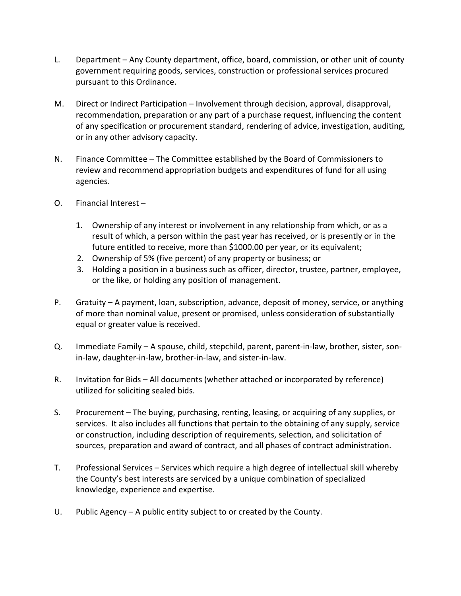- L. Department Any County department, office, board, commission, or other unit of county government requiring goods, services, construction or professional services procured pursuant to this Ordinance.
- M. Direct or Indirect Participation Involvement through decision, approval, disapproval, recommendation, preparation or any part of a purchase request, influencing the content of any specification or procurement standard, rendering of advice, investigation, auditing, or in any other advisory capacity.
- N. Finance Committee The Committee established by the Board of Commissioners to review and recommend appropriation budgets and expenditures of fund for all using agencies.
- O. Financial Interest
	- 1. Ownership of any interest or involvement in any relationship from which, or as a result of which, a person within the past year has received, or is presently or in the future entitled to receive, more than \$1000.00 per year, or its equivalent;
	- 2. Ownership of 5% (five percent) of any property or business; or
	- 3. Holding a position in a business such as officer, director, trustee, partner, employee, or the like, or holding any position of management.
- P. Gratuity A payment, loan, subscription, advance, deposit of money, service, or anything of more than nominal value, present or promised, unless consideration of substantially equal or greater value is received.
- Q. Immediate Family A spouse, child, stepchild, parent, parent‐in‐law, brother, sister, son‐ in‐law, daughter‐in‐law, brother‐in‐law, and sister‐in‐law.
- R. Invitation for Bids All documents (whether attached or incorporated by reference) utilized for soliciting sealed bids.
- S. Procurement The buying, purchasing, renting, leasing, or acquiring of any supplies, or services. It also includes all functions that pertain to the obtaining of any supply, service or construction, including description of requirements, selection, and solicitation of sources, preparation and award of contract, and all phases of contract administration.
- T. Professional Services Services which require a high degree of intellectual skill whereby the County's best interests are serviced by a unique combination of specialized knowledge, experience and expertise.
- U. Public Agency A public entity subject to or created by the County.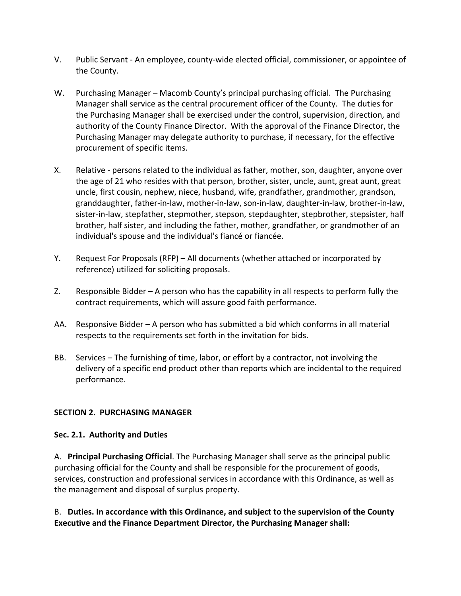- V. Public Servant ‐ An employee, county‐wide elected official, commissioner, or appointee of the County.
- W. Purchasing Manager Macomb County's principal purchasing official. The Purchasing Manager shall service as the central procurement officer of the County. The duties for the Purchasing Manager shall be exercised under the control, supervision, direction, and authority of the County Finance Director. With the approval of the Finance Director, the Purchasing Manager may delegate authority to purchase, if necessary, for the effective procurement of specific items.
- X. Relative ‐ persons related to the individual as father, mother, son, daughter, anyone over the age of 21 who resides with that person, brother, sister, uncle, aunt, great aunt, great uncle, first cousin, nephew, niece, husband, wife, grandfather, grandmother, grandson, granddaughter, father‐in‐law, mother‐in‐law, son‐in‐law, daughter‐in‐law, brother‐in‐law, sister‐in‐law, stepfather, stepmother, stepson, stepdaughter, stepbrother, stepsister, half brother, half sister, and including the father, mother, grandfather, or grandmother of an individual's spouse and the individual's fiancé or fiancée.
- Y. Request For Proposals (RFP) All documents (whether attached or incorporated by reference) utilized for soliciting proposals.
- Z. Responsible Bidder A person who has the capability in all respects to perform fully the contract requirements, which will assure good faith performance.
- AA. Responsive Bidder A person who has submitted a bid which conforms in all material respects to the requirements set forth in the invitation for bids.
- BB. Services The furnishing of time, labor, or effort by a contractor, not involving the delivery of a specific end product other than reports which are incidental to the required performance.

## **SECTION 2. PURCHASING MANAGER**

## **Sec. 2.1. Authority and Duties**

A. **Principal Purchasing Official**. The Purchasing Manager shall serve as the principal public purchasing official for the County and shall be responsible for the procurement of goods, services, construction and professional services in accordance with this Ordinance, as well as the management and disposal of surplus property.

B. **Duties. In accordance with this Ordinance, and subject to the supervision of the County Executive and the Finance Department Director, the Purchasing Manager shall:**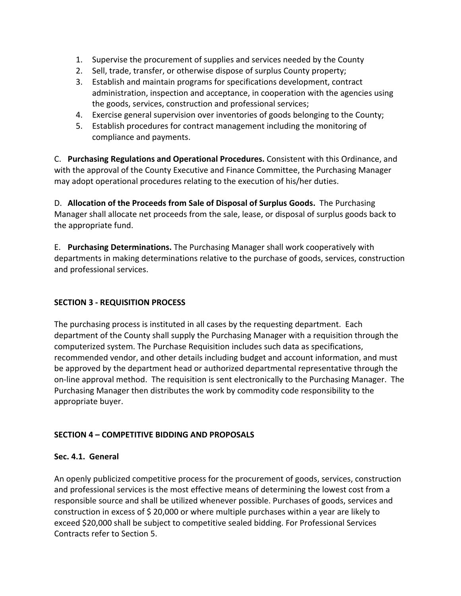- 1. Supervise the procurement of supplies and services needed by the County
- 2. Sell, trade, transfer, or otherwise dispose of surplus County property;
- 3. Establish and maintain programs for specifications development, contract administration, inspection and acceptance, in cooperation with the agencies using the goods, services, construction and professional services;
- 4. Exercise general supervision over inventories of goods belonging to the County;
- 5. Establish procedures for contract management including the monitoring of compliance and payments.

C. **Purchasing Regulations and Operational Procedures.** Consistent with this Ordinance, and with the approval of the County Executive and Finance Committee, the Purchasing Manager may adopt operational procedures relating to the execution of his/her duties.

D. **Allocation of the Proceeds from Sale of Disposal of Surplus Goods.** The Purchasing Manager shall allocate net proceeds from the sale, lease, or disposal of surplus goods back to the appropriate fund.

E. **Purchasing Determinations.** The Purchasing Manager shall work cooperatively with departments in making determinations relative to the purchase of goods, services, construction and professional services.

# **SECTION 3 ‐ REQUISITION PROCESS**

The purchasing process is instituted in all cases by the requesting department. Each department of the County shall supply the Purchasing Manager with a requisition through the computerized system. The Purchase Requisition includes such data as specifications, recommended vendor, and other details including budget and account information, and must be approved by the department head or authorized departmental representative through the on‐line approval method. The requisition is sent electronically to the Purchasing Manager. The Purchasing Manager then distributes the work by commodity code responsibility to the appropriate buyer.

## **SECTION 4 – COMPETITIVE BIDDING AND PROPOSALS**

## **Sec. 4.1. General**

An openly publicized competitive process for the procurement of goods, services, construction and professional services is the most effective means of determining the lowest cost from a responsible source and shall be utilized whenever possible. Purchases of goods, services and construction in excess of \$ 20,000 or where multiple purchases within a year are likely to exceed \$20,000 shall be subject to competitive sealed bidding. For Professional Services Contracts refer to Section 5.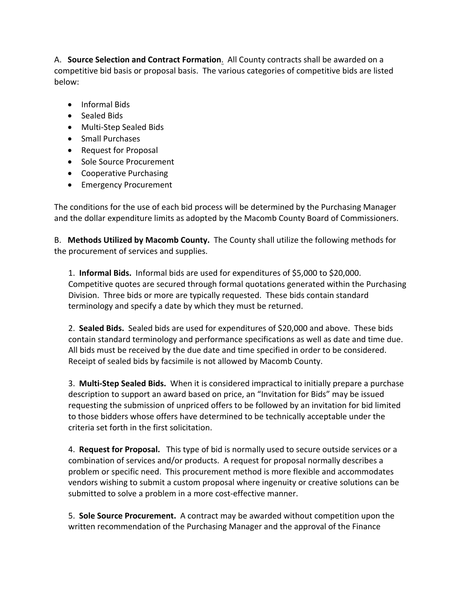A. **Source Selection and Contract Formation**. All County contracts shall be awarded on a competitive bid basis or proposal basis. The various categories of competitive bids are listed below:

- Informal Bids
- Sealed Bids
- Multi‐Step Sealed Bids
- Small Purchases
- Request for Proposal
- Sole Source Procurement
- Cooperative Purchasing
- Emergency Procurement

The conditions for the use of each bid process will be determined by the Purchasing Manager and the dollar expenditure limits as adopted by the Macomb County Board of Commissioners.

B. **Methods Utilized by Macomb County.** The County shall utilize the following methods for the procurement of services and supplies.

1. **Informal Bids.** Informal bids are used for expenditures of \$5,000 to \$20,000. Competitive quotes are secured through formal quotations generated within the Purchasing Division. Three bids or more are typically requested. These bids contain standard terminology and specify a date by which they must be returned.

2. **Sealed Bids.** Sealed bids are used for expenditures of \$20,000 and above. These bids contain standard terminology and performance specifications as well as date and time due. All bids must be received by the due date and time specified in order to be considered. Receipt of sealed bids by facsimile is not allowed by Macomb County.

3. **Multi‐Step Sealed Bids.** When it is considered impractical to initially prepare a purchase description to support an award based on price, an "Invitation for Bids" may be issued requesting the submission of unpriced offers to be followed by an invitation for bid limited to those bidders whose offers have determined to be technically acceptable under the criteria set forth in the first solicitation.

4. **Request for Proposal.** This type of bid is normally used to secure outside services or a combination of services and/or products. A request for proposal normally describes a problem or specific need. This procurement method is more flexible and accommodates vendors wishing to submit a custom proposal where ingenuity or creative solutions can be submitted to solve a problem in a more cost-effective manner.

5. **Sole Source Procurement.** A contract may be awarded without competition upon the written recommendation of the Purchasing Manager and the approval of the Finance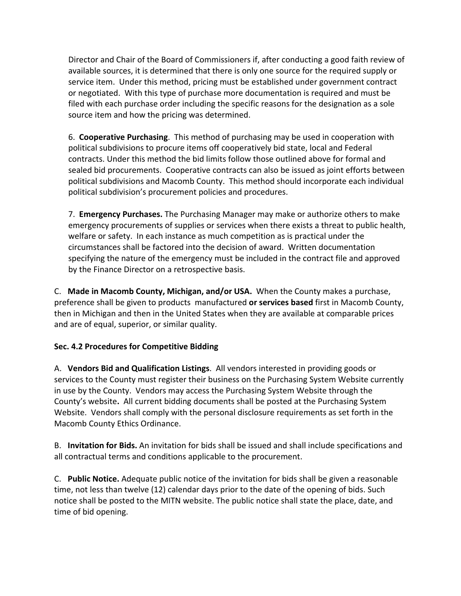Director and Chair of the Board of Commissioners if, after conducting a good faith review of available sources, it is determined that there is only one source for the required supply or service item. Under this method, pricing must be established under government contract or negotiated. With this type of purchase more documentation is required and must be filed with each purchase order including the specific reasons for the designation as a sole source item and how the pricing was determined.

6. **Cooperative Purchasing**. This method of purchasing may be used in cooperation with political subdivisions to procure items off cooperatively bid state, local and Federal contracts. Under this method the bid limits follow those outlined above for formal and sealed bid procurements. Cooperative contracts can also be issued as joint efforts between political subdivisions and Macomb County. This method should incorporate each individual political subdivision's procurement policies and procedures.

7. **Emergency Purchases.** The Purchasing Manager may make or authorize others to make emergency procurements of supplies or services when there exists a threat to public health, welfare or safety. In each instance as much competition as is practical under the circumstances shall be factored into the decision of award. Written documentation specifying the nature of the emergency must be included in the contract file and approved by the Finance Director on a retrospective basis.

C. **Made in Macomb County, Michigan, and/or USA.** When the County makes a purchase, preference shall be given to products manufactured **or services based** first in Macomb County, then in Michigan and then in the United States when they are available at comparable prices and are of equal, superior, or similar quality.

## **Sec. 4.2 Procedures for Competitive Bidding**

A. **Vendors Bid and Qualification Listings**. All vendors interested in providing goods or services to the County must register their business on the Purchasing System Website currently in use by the County. Vendors may access the Purchasing System Website through the County's website**.** All current bidding documents shall be posted at the Purchasing System Website. Vendors shall comply with the personal disclosure requirements as set forth in the Macomb County Ethics Ordinance.

B. **Invitation for Bids.** An invitation for bids shall be issued and shall include specifications and all contractual terms and conditions applicable to the procurement.

C. **Public Notice.** Adequate public notice of the invitation for bids shall be given a reasonable time, not less than twelve (12) calendar days prior to the date of the opening of bids. Such notice shall be posted to the MITN website. The public notice shall state the place, date, and time of bid opening.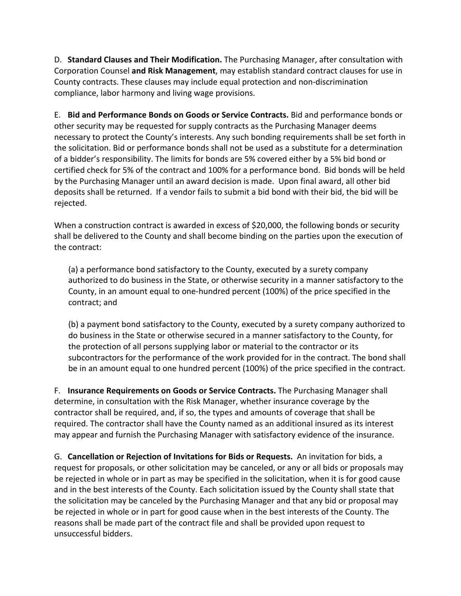D. **Standard Clauses and Their Modification.** The Purchasing Manager, after consultation with Corporation Counsel **and Risk Management**, may establish standard contract clauses for use in County contracts. These clauses may include equal protection and non‐discrimination compliance, labor harmony and living wage provisions.

E. **Bid and Performance Bonds on Goods or Service Contracts.** Bid and performance bonds or other security may be requested for supply contracts as the Purchasing Manager deems necessary to protect the County's interests. Any such bonding requirements shall be set forth in the solicitation. Bid or performance bonds shall not be used as a substitute for a determination of a bidder's responsibility. The limits for bonds are 5% covered either by a 5% bid bond or certified check for 5% of the contract and 100% for a performance bond. Bid bonds will be held by the Purchasing Manager until an award decision is made. Upon final award, all other bid deposits shall be returned. If a vendor fails to submit a bid bond with their bid, the bid will be rejected.

When a construction contract is awarded in excess of \$20,000, the following bonds or security shall be delivered to the County and shall become binding on the parties upon the execution of the contract:

(a) a performance bond satisfactory to the County, executed by a surety company authorized to do business in the State, or otherwise security in a manner satisfactory to the County, in an amount equal to one‐hundred percent (100%) of the price specified in the contract; and

(b) a payment bond satisfactory to the County, executed by a surety company authorized to do business in the State or otherwise secured in a manner satisfactory to the County, for the protection of all persons supplying labor or material to the contractor or its subcontractors for the performance of the work provided for in the contract. The bond shall be in an amount equal to one hundred percent (100%) of the price specified in the contract.

F. **Insurance Requirements on Goods or Service Contracts.** The Purchasing Manager shall determine, in consultation with the Risk Manager, whether insurance coverage by the contractor shall be required, and, if so, the types and amounts of coverage that shall be required. The contractor shall have the County named as an additional insured as its interest may appear and furnish the Purchasing Manager with satisfactory evidence of the insurance.

G. **Cancellation or Rejection of Invitations for Bids or Requests.** An invitation for bids, a request for proposals, or other solicitation may be canceled, or any or all bids or proposals may be rejected in whole or in part as may be specified in the solicitation, when it is for good cause and in the best interests of the County. Each solicitation issued by the County shall state that the solicitation may be canceled by the Purchasing Manager and that any bid or proposal may be rejected in whole or in part for good cause when in the best interests of the County. The reasons shall be made part of the contract file and shall be provided upon request to unsuccessful bidders.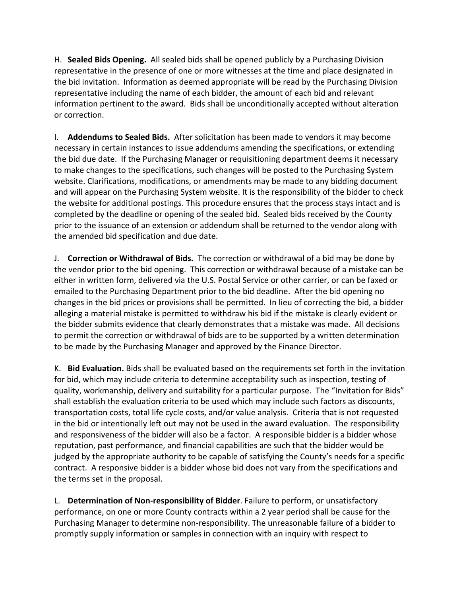H. **Sealed Bids Opening.** All sealed bids shall be opened publicly by a Purchasing Division representative in the presence of one or more witnesses at the time and place designated in the bid invitation. Information as deemed appropriate will be read by the Purchasing Division representative including the name of each bidder, the amount of each bid and relevant information pertinent to the award. Bids shall be unconditionally accepted without alteration or correction.

I. **Addendums to Sealed Bids.** After solicitation has been made to vendors it may become necessary in certain instances to issue addendums amending the specifications, or extending the bid due date. If the Purchasing Manager or requisitioning department deems it necessary to make changes to the specifications, such changes will be posted to the Purchasing System website. Clarifications, modifications, or amendments may be made to any bidding document and will appear on the Purchasing System website. It is the responsibility of the bidder to check the website for additional postings. This procedure ensures that the process stays intact and is completed by the deadline or opening of the sealed bid. Sealed bids received by the County prior to the issuance of an extension or addendum shall be returned to the vendor along with the amended bid specification and due date.

J. **Correction or Withdrawal of Bids.** The correction or withdrawal of a bid may be done by the vendor prior to the bid opening. This correction or withdrawal because of a mistake can be either in written form, delivered via the U.S. Postal Service or other carrier, or can be faxed or emailed to the Purchasing Department prior to the bid deadline. After the bid opening no changes in the bid prices or provisions shall be permitted. In lieu of correcting the bid, a bidder alleging a material mistake is permitted to withdraw his bid if the mistake is clearly evident or the bidder submits evidence that clearly demonstrates that a mistake was made. All decisions to permit the correction or withdrawal of bids are to be supported by a written determination to be made by the Purchasing Manager and approved by the Finance Director.

K. **Bid Evaluation.** Bids shall be evaluated based on the requirements set forth in the invitation for bid, which may include criteria to determine acceptability such as inspection, testing of quality, workmanship, delivery and suitability for a particular purpose. The "Invitation for Bids" shall establish the evaluation criteria to be used which may include such factors as discounts, transportation costs, total life cycle costs, and/or value analysis. Criteria that is not requested in the bid or intentionally left out may not be used in the award evaluation. The responsibility and responsiveness of the bidder will also be a factor. A responsible bidder is a bidder whose reputation, past performance, and financial capabilities are such that the bidder would be judged by the appropriate authority to be capable of satisfying the County's needs for a specific contract. A responsive bidder is a bidder whose bid does not vary from the specifications and the terms set in the proposal.

L. **Determination of Non‐responsibility of Bidder**. Failure to perform, or unsatisfactory performance, on one or more County contracts within a 2 year period shall be cause for the Purchasing Manager to determine non‐responsibility. The unreasonable failure of a bidder to promptly supply information or samples in connection with an inquiry with respect to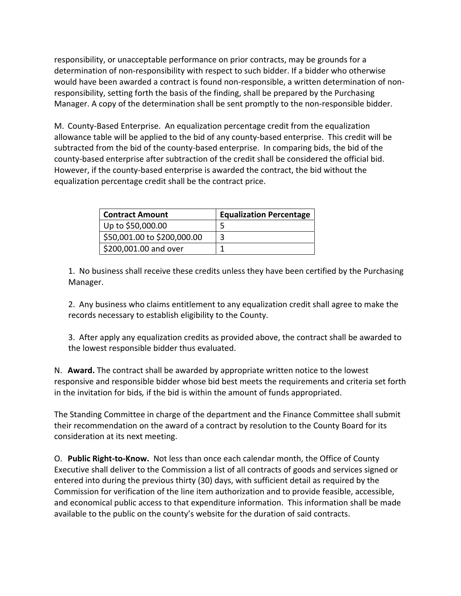responsibility, or unacceptable performance on prior contracts, may be grounds for a determination of non‐responsibility with respect to such bidder. If a bidder who otherwise would have been awarded a contract is found non‐responsible, a written determination of non‐ responsibility, setting forth the basis of the finding, shall be prepared by the Purchasing Manager. A copy of the determination shall be sent promptly to the non-responsible bidder.

M. County‐Based Enterprise. An equalization percentage credit from the equalization allowance table will be applied to the bid of any county‐based enterprise. This credit will be subtracted from the bid of the county-based enterprise. In comparing bids, the bid of the county‐based enterprise after subtraction of the credit shall be considered the official bid. However, if the county‐based enterprise is awarded the contract, the bid without the equalization percentage credit shall be the contract price.

| <b>Contract Amount</b>      | <b>Equalization Percentage</b> |
|-----------------------------|--------------------------------|
| Up to \$50,000.00           |                                |
| \$50,001.00 to \$200,000.00 |                                |
| \$200,001.00 and over       |                                |

1. No business shall receive these credits unless they have been certified by the Purchasing Manager.

2. Any business who claims entitlement to any equalization credit shall agree to make the records necessary to establish eligibility to the County.

3. After apply any equalization credits as provided above, the contract shall be awarded to the lowest responsible bidder thus evaluated.

N. **Award.** The contract shall be awarded by appropriate written notice to the lowest responsive and responsible bidder whose bid best meets the requirements and criteria set forth in the invitation for bids*,* if the bid is within the amount of funds appropriated.

The Standing Committee in charge of the department and the Finance Committee shall submit their recommendation on the award of a contract by resolution to the County Board for its consideration at its next meeting.

O. **Public Right‐to‐Know.** Not less than once each calendar month, the Office of County Executive shall deliver to the Commission a list of all contracts of goods and services signed or entered into during the previous thirty (30) days, with sufficient detail as required by the Commission for verification of the line item authorization and to provide feasible, accessible, and economical public access to that expenditure information. This information shall be made available to the public on the county's website for the duration of said contracts.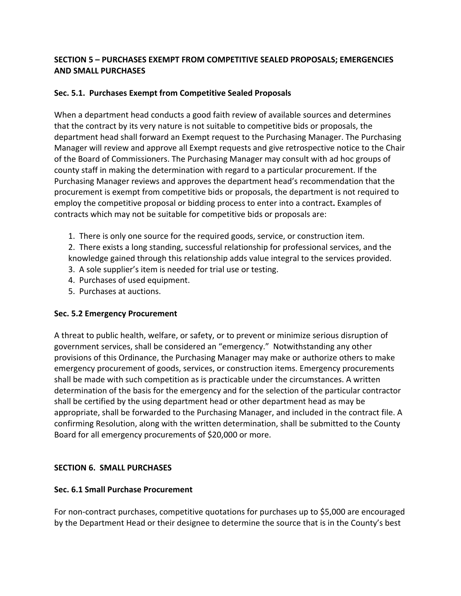# **SECTION 5 – PURCHASES EXEMPT FROM COMPETITIVE SEALED PROPOSALS; EMERGENCIES AND SMALL PURCHASES**

## **Sec. 5.1. Purchases Exempt from Competitive Sealed Proposals**

When a department head conducts a good faith review of available sources and determines that the contract by its very nature is not suitable to competitive bids or proposals, the department head shall forward an Exempt request to the Purchasing Manager. The Purchasing Manager will review and approve all Exempt requests and give retrospective notice to the Chair of the Board of Commissioners. The Purchasing Manager may consult with ad hoc groups of county staff in making the determination with regard to a particular procurement. If the Purchasing Manager reviews and approves the department head's recommendation that the procurement is exempt from competitive bids or proposals, the department is not required to employ the competitive proposal or bidding process to enter into a contract**.** Examples of contracts which may not be suitable for competitive bids or proposals are:

- 1. There is only one source for the required goods, service, or construction item.
- 2. There exists a long standing, successful relationship for professional services, and the
- knowledge gained through this relationship adds value integral to the services provided.
- 3. A sole supplier's item is needed for trial use or testing.
- 4. Purchases of used equipment.
- 5. Purchases at auctions.

## **Sec. 5.2 Emergency Procurement**

A threat to public health, welfare, or safety, or to prevent or minimize serious disruption of government services, shall be considered an "emergency." Notwithstanding any other provisions of this Ordinance, the Purchasing Manager may make or authorize others to make emergency procurement of goods, services, or construction items. Emergency procurements shall be made with such competition as is practicable under the circumstances. A written determination of the basis for the emergency and for the selection of the particular contractor shall be certified by the using department head or other department head as may be appropriate, shall be forwarded to the Purchasing Manager, and included in the contract file. A confirming Resolution, along with the written determination, shall be submitted to the County Board for all emergency procurements of \$20,000 or more.

# **SECTION 6. SMALL PURCHASES**

## **Sec. 6.1 Small Purchase Procurement**

For non‐contract purchases, competitive quotations for purchases up to \$5,000 are encouraged by the Department Head or their designee to determine the source that is in the County's best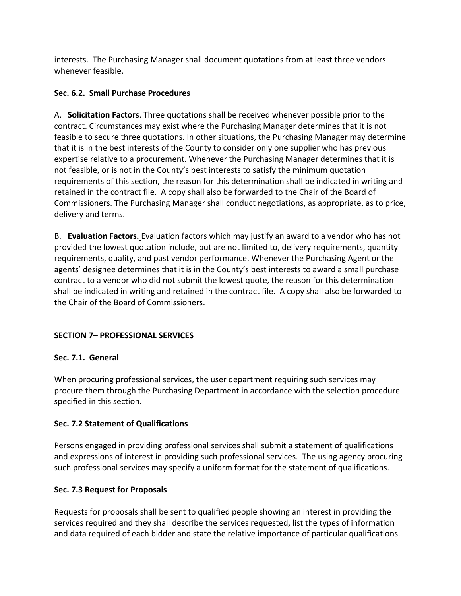interests. The Purchasing Manager shall document quotations from at least three vendors whenever feasible.

# **Sec. 6.2. Small Purchase Procedures**

A. **Solicitation Factors**. Three quotations shall be received whenever possible prior to the contract. Circumstances may exist where the Purchasing Manager determines that it is not feasible to secure three quotations. In other situations, the Purchasing Manager may determine that it is in the best interests of the County to consider only one supplier who has previous expertise relative to a procurement. Whenever the Purchasing Manager determines that it is not feasible, or is not in the County's best interests to satisfy the minimum quotation requirements of this section, the reason for this determination shall be indicated in writing and retained in the contract file. A copy shall also be forwarded to the Chair of the Board of Commissioners. The Purchasing Manager shall conduct negotiations, as appropriate, as to price, delivery and terms.

B. **Evaluation Factors.** Evaluation factors which may justify an award to a vendor who has not provided the lowest quotation include, but are not limited to, delivery requirements, quantity requirements, quality, and past vendor performance. Whenever the Purchasing Agent or the agents' designee determines that it is in the County's best interests to award a small purchase contract to a vendor who did not submit the lowest quote, the reason for this determination shall be indicated in writing and retained in the contract file. A copy shall also be forwarded to the Chair of the Board of Commissioners.

# **SECTION 7– PROFESSIONAL SERVICES**

## **Sec. 7.1. General**

When procuring professional services, the user department requiring such services may procure them through the Purchasing Department in accordance with the selection procedure specified in this section.

## **Sec. 7.2 Statement of Qualifications**

Persons engaged in providing professional services shall submit a statement of qualifications and expressions of interest in providing such professional services. The using agency procuring such professional services may specify a uniform format for the statement of qualifications.

## **Sec. 7.3 Request for Proposals**

Requests for proposals shall be sent to qualified people showing an interest in providing the services required and they shall describe the services requested, list the types of information and data required of each bidder and state the relative importance of particular qualifications.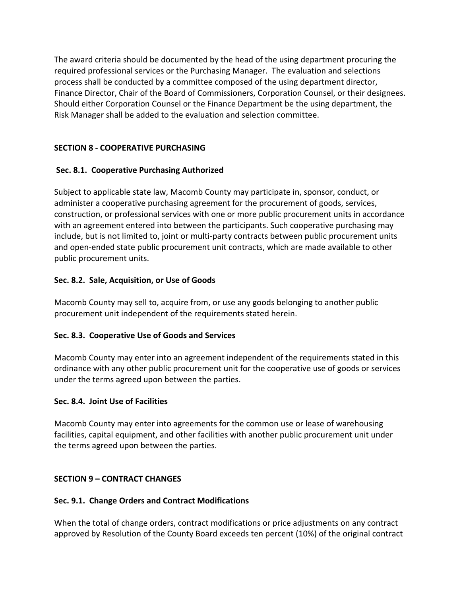The award criteria should be documented by the head of the using department procuring the required professional services or the Purchasing Manager. The evaluation and selections process shall be conducted by a committee composed of the using department director, Finance Director, Chair of the Board of Commissioners, Corporation Counsel, or their designees. Should either Corporation Counsel or the Finance Department be the using department, the Risk Manager shall be added to the evaluation and selection committee.

# **SECTION 8 ‐ COOPERATIVE PURCHASING**

# **Sec. 8.1. Cooperative Purchasing Authorized**

Subject to applicable state law, Macomb County may participate in, sponsor, conduct, or administer a cooperative purchasing agreement for the procurement of goods, services, construction, or professional services with one or more public procurement units in accordance with an agreement entered into between the participants. Such cooperative purchasing may include, but is not limited to, joint or multi‐party contracts between public procurement units and open‐ended state public procurement unit contracts, which are made available to other public procurement units.

## **Sec. 8.2. Sale, Acquisition, or Use of Goods**

Macomb County may sell to, acquire from, or use any goods belonging to another public procurement unit independent of the requirements stated herein.

## **Sec. 8.3. Cooperative Use of Goods and Services**

Macomb County may enter into an agreement independent of the requirements stated in this ordinance with any other public procurement unit for the cooperative use of goods or services under the terms agreed upon between the parties.

## **Sec. 8.4. Joint Use of Facilities**

Macomb County may enter into agreements for the common use or lease of warehousing facilities, capital equipment, and other facilities with another public procurement unit under the terms agreed upon between the parties.

## **SECTION 9 – CONTRACT CHANGES**

## **Sec. 9.1. Change Orders and Contract Modifications**

When the total of change orders, contract modifications or price adjustments on any contract approved by Resolution of the County Board exceeds ten percent (10%) of the original contract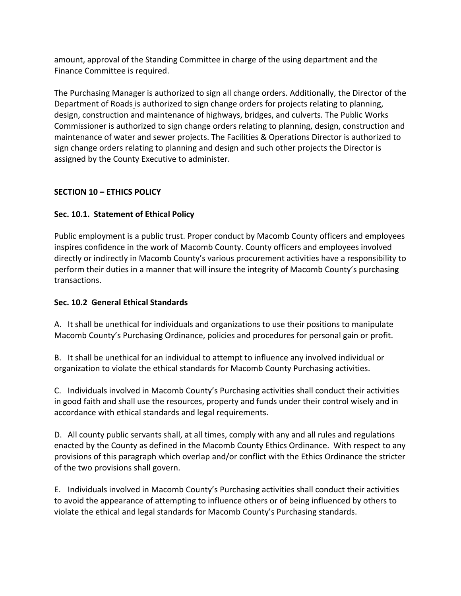amount, approval of the Standing Committee in charge of the using department and the Finance Committee is required.

The Purchasing Manager is authorized to sign all change orders. Additionally, the Director of the Department of Roads is authorized to sign change orders for projects relating to planning, design, construction and maintenance of highways, bridges, and culverts. The Public Works Commissioner is authorized to sign change orders relating to planning, design, construction and maintenance of water and sewer projects. The Facilities & Operations Director is authorized to sign change orders relating to planning and design and such other projects the Director is assigned by the County Executive to administer.

## **SECTION 10 – ETHICS POLICY**

# **Sec. 10.1. Statement of Ethical Policy**

Public employment is a public trust. Proper conduct by Macomb County officers and employees inspires confidence in the work of Macomb County. County officers and employees involved directly or indirectly in Macomb County's various procurement activities have a responsibility to perform their duties in a manner that will insure the integrity of Macomb County's purchasing transactions.

## **Sec. 10.2 General Ethical Standards**

A. It shall be unethical for individuals and organizations to use their positions to manipulate Macomb County's Purchasing Ordinance, policies and procedures for personal gain or profit.

B. It shall be unethical for an individual to attempt to influence any involved individual or organization to violate the ethical standards for Macomb County Purchasing activities.

C. Individuals involved in Macomb County's Purchasing activities shall conduct their activities in good faith and shall use the resources, property and funds under their control wisely and in accordance with ethical standards and legal requirements.

D. All county public servants shall, at all times, comply with any and all rules and regulations enacted by the County as defined in the Macomb County Ethics Ordinance. With respect to any provisions of this paragraph which overlap and/or conflict with the Ethics Ordinance the stricter of the two provisions shall govern.

E. Individuals involved in Macomb County's Purchasing activities shall conduct their activities to avoid the appearance of attempting to influence others or of being influenced by others to violate the ethical and legal standards for Macomb County's Purchasing standards.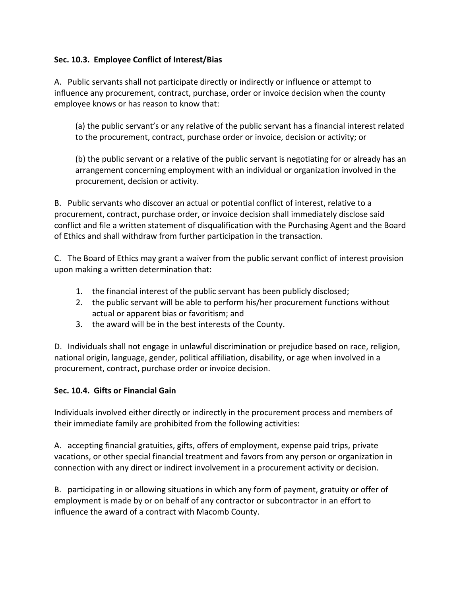## **Sec. 10.3. Employee Conflict of Interest/Bias**

A. Public servants shall not participate directly or indirectly or influence or attempt to influence any procurement, contract, purchase, order or invoice decision when the county employee knows or has reason to know that:

(a) the public servant's or any relative of the public servant has a financial interest related to the procurement, contract, purchase order or invoice, decision or activity; or

(b) the public servant or a relative of the public servant is negotiating for or already has an arrangement concerning employment with an individual or organization involved in the procurement, decision or activity.

B. Public servants who discover an actual or potential conflict of interest, relative to a procurement, contract, purchase order, or invoice decision shall immediately disclose said conflict and file a written statement of disqualification with the Purchasing Agent and the Board of Ethics and shall withdraw from further participation in the transaction.

C. The Board of Ethics may grant a waiver from the public servant conflict of interest provision upon making a written determination that:

- 1. the financial interest of the public servant has been publicly disclosed;
- 2. the public servant will be able to perform his/her procurement functions without actual or apparent bias or favoritism; and
- 3. the award will be in the best interests of the County.

D. Individuals shall not engage in unlawful discrimination or prejudice based on race, religion, national origin, language, gender, political affiliation, disability, or age when involved in a procurement, contract, purchase order or invoice decision.

## **Sec. 10.4. Gifts or Financial Gain**

Individuals involved either directly or indirectly in the procurement process and members of their immediate family are prohibited from the following activities:

A. accepting financial gratuities, gifts, offers of employment, expense paid trips, private vacations, or other special financial treatment and favors from any person or organization in connection with any direct or indirect involvement in a procurement activity or decision.

B. participating in or allowing situations in which any form of payment, gratuity or offer of employment is made by or on behalf of any contractor or subcontractor in an effort to influence the award of a contract with Macomb County.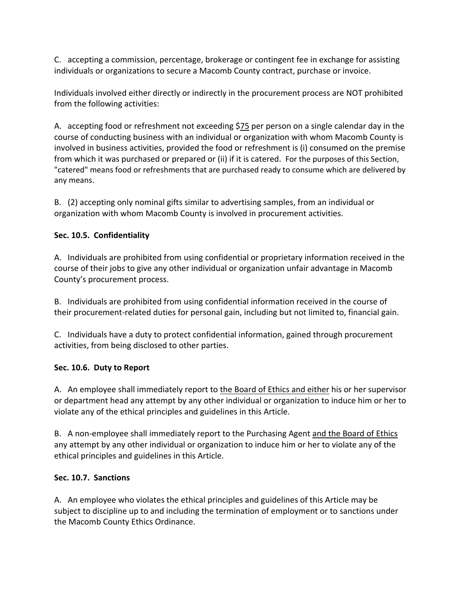C. accepting a commission, percentage, brokerage or contingent fee in exchange for assisting individuals or organizations to secure a Macomb County contract, purchase or invoice.

Individuals involved either directly or indirectly in the procurement process are NOT prohibited from the following activities:

A. accepting food or refreshment not exceeding \$75 per person on a single calendar day in the course of conducting business with an individual or organization with whom Macomb County is involved in business activities, provided the food or refreshment is (i) consumed on the premise from which it was purchased or prepared or (ii) if it is catered. For the purposes of this Section, "catered" means food or refreshments that are purchased ready to consume which are delivered by any means.

B. (2) accepting only nominal gifts similar to advertising samples, from an individual or organization with whom Macomb County is involved in procurement activities.

# **Sec. 10.5. Confidentiality**

A. Individuals are prohibited from using confidential or proprietary information received in the course of their jobs to give any other individual or organization unfair advantage in Macomb County's procurement process.

B. Individuals are prohibited from using confidential information received in the course of their procurement‐related duties for personal gain, including but not limited to, financial gain.

C. Individuals have a duty to protect confidential information, gained through procurement activities, from being disclosed to other parties.

## **Sec. 10.6. Duty to Report**

A. An employee shall immediately report to the Board of Ethics and either his or her supervisor or department head any attempt by any other individual or organization to induce him or her to violate any of the ethical principles and guidelines in this Article.

B. A non-employee shall immediately report to the Purchasing Agent and the Board of Ethics any attempt by any other individual or organization to induce him or her to violate any of the ethical principles and guidelines in this Article.

## **Sec. 10.7. Sanctions**

A. An employee who violates the ethical principles and guidelines of this Article may be subject to discipline up to and including the termination of employment or to sanctions under the Macomb County Ethics Ordinance.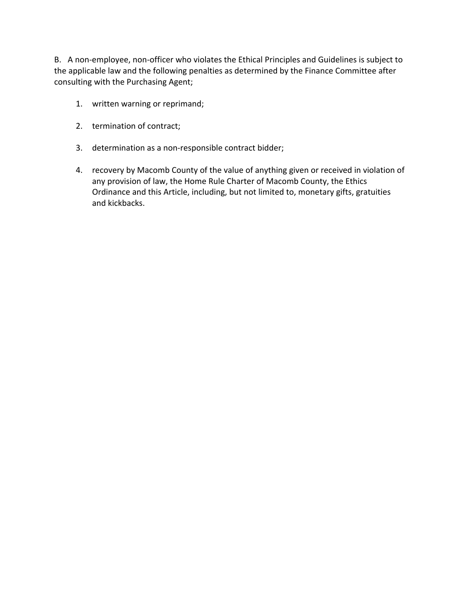B. A non-employee, non-officer who violates the Ethical Principles and Guidelines is subject to the applicable law and the following penalties as determined by the Finance Committee after consulting with the Purchasing Agent;

- 1. written warning or reprimand;
- 2. termination of contract;
- 3. determination as a non‐responsible contract bidder;
- 4. recovery by Macomb County of the value of anything given or received in violation of any provision of law, the Home Rule Charter of Macomb County, the Ethics Ordinance and this Article, including, but not limited to, monetary gifts, gratuities and kickbacks.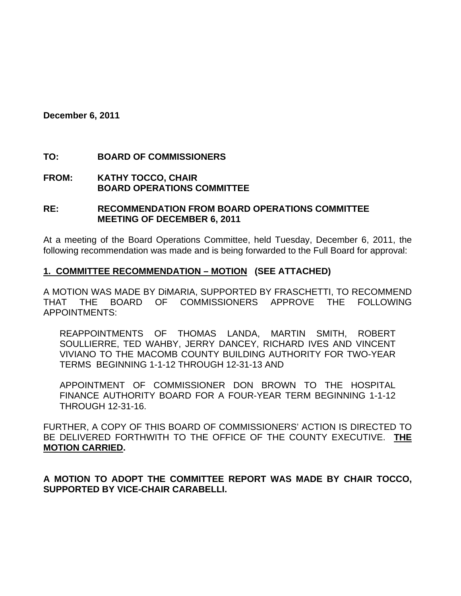**December 6, 2011** 

## **TO: BOARD OF COMMISSIONERS**

**FROM: KATHY TOCCO, CHAIR BOARD OPERATIONS COMMITTEE** 

#### **RE: RECOMMENDATION FROM BOARD OPERATIONS COMMITTEE MEETING OF DECEMBER 6, 2011**

At a meeting of the Board Operations Committee, held Tuesday, December 6, 2011, the following recommendation was made and is being forwarded to the Full Board for approval:

#### **1. COMMITTEE RECOMMENDATION – MOTION (SEE ATTACHED)**

A MOTION WAS MADE BY DiMARIA, SUPPORTED BY FRASCHETTI, TO RECOMMEND THAT THE BOARD OF COMMISSIONERS APPROVE THE FOLLOWING APPOINTMENTS:

REAPPOINTMENTS OF THOMAS LANDA, MARTIN SMITH, ROBERT SOULLIERRE, TED WAHBY, JERRY DANCEY, RICHARD IVES AND VINCENT VIVIANO TO THE MACOMB COUNTY BUILDING AUTHORITY FOR TWO-YEAR TERMS BEGINNING 1-1-12 THROUGH 12-31-13 AND

APPOINTMENT OF COMMISSIONER DON BROWN TO THE HOSPITAL FINANCE AUTHORITY BOARD FOR A FOUR-YEAR TERM BEGINNING 1-1-12 THROUGH 12-31-16.

FURTHER, A COPY OF THIS BOARD OF COMMISSIONERS' ACTION IS DIRECTED TO BE DELIVERED FORTHWITH TO THE OFFICE OF THE COUNTY EXECUTIVE. **THE MOTION CARRIED.** 

**A MOTION TO ADOPT THE COMMITTEE REPORT WAS MADE BY CHAIR TOCCO, SUPPORTED BY VICE-CHAIR CARABELLI.**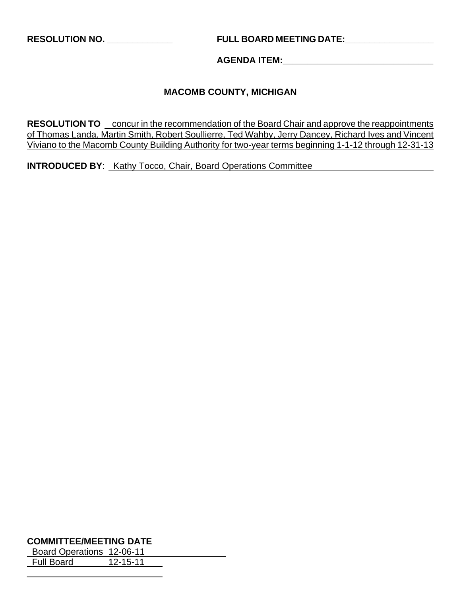# **RESOLUTION NO. \_\_\_\_\_\_\_\_\_\_\_\_\_ FULL BOARD MEETING DATE:\_\_\_\_\_\_\_\_\_\_\_\_\_\_\_\_\_\_**

#### **AGENDA ITEM:\_\_\_\_\_\_\_\_\_\_\_\_\_\_\_\_\_\_\_\_\_\_\_\_\_\_\_\_\_\_**

## **MACOMB COUNTY, MICHIGAN**

**RESOLUTION TO** concur in the recommendation of the Board Chair and approve the reappointments of Thomas Landa, Martin Smith, Robert Soullierre, Ted Wahby, Jerry Dancey, Richard Ives and Vincent Viviano to the Macomb County Building Authority for two-year terms beginning 1-1-12 through 12-31-13

**INTRODUCED BY**: Kathy Tocco, Chair, Board Operations Committee

#### **COMMITTEE/MEETING DATE**

 $\overline{a}$ 

 Board Operations 12-06-11 Full Board 12-15-11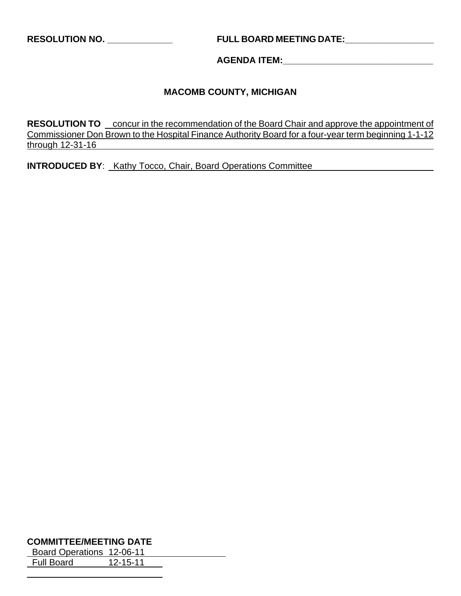**RESOLUTION NO. \_\_\_\_\_\_\_\_\_\_\_\_\_ FULL BOARD MEETING DATE:\_\_\_\_\_\_\_\_\_\_\_\_\_\_\_\_\_\_** 

**AGENDA ITEM:\_\_\_\_\_\_\_\_\_\_\_\_\_\_\_\_\_\_\_\_\_\_\_\_\_\_\_\_\_\_** 

# **MACOMB COUNTY, MICHIGAN**

**RESOLUTION TO** concur in the recommendation of the Board Chair and approve the appointment of Commissioner Don Brown to the Hospital Finance Authority Board for a four-year term beginning 1-1-12 through 12-31-16

**INTRODUCED BY:** Kathy Tocco, Chair, Board Operations Committee

#### **COMMITTEE/MEETING DATE**

 $\overline{a}$ 

 Board Operations 12-06-11 Full Board 12-15-11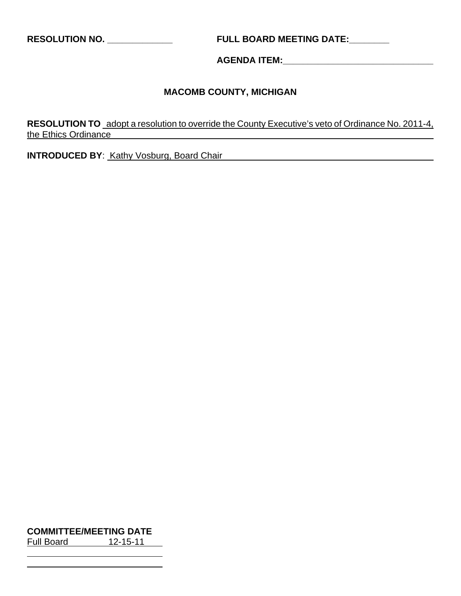**RESOLUTION NO. \_\_\_\_\_\_\_\_\_\_\_\_\_ FULL BOARD MEETING DATE:\_\_\_\_\_\_\_\_** 

**AGENDA ITEM:\_\_\_\_\_\_\_\_\_\_\_\_\_\_\_\_\_\_\_\_\_\_\_\_\_\_\_\_\_\_** 

# **MACOMB COUNTY, MICHIGAN**

**RESOLUTION TO** adopt a resolution to override the County Executive's veto of Ordinance No. 2011-4, the Ethics Ordinance

**INTRODUCED BY:** Kathy Vosburg, Board Chair

**COMMITTEE/MEETING DATE** Full Board 12-15-11

 $\overline{a}$  $\overline{a}$